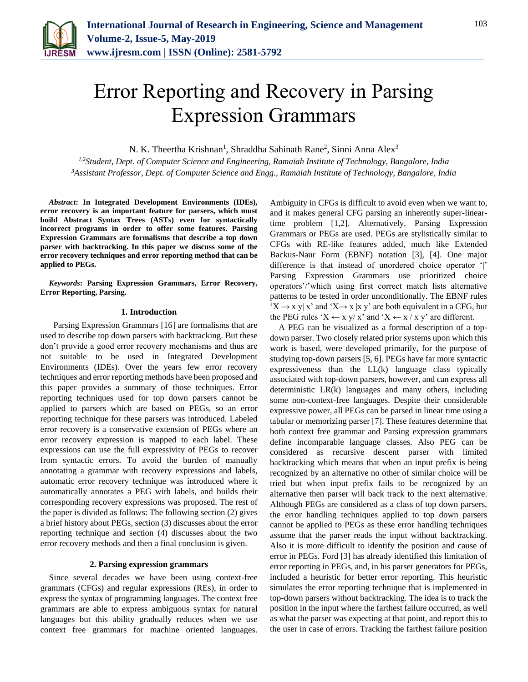

# Error Reporting and Recovery in Parsing Expression Grammars

N. K. Theertha Krishnan<sup>1</sup>, Shraddha Sahinath Rane<sup>2</sup>, Sinni Anna Alex<sup>3</sup>

*1,2Student, Dept. of Computer Science and Engineering, Ramaiah Institute of Technology, Bangalore, India 3Assistant Professor, Dept. of Computer Science and Engg., Ramaiah Institute of Technology, Bangalore, India*

*Abstract***: In Integrated Development Environments (IDEs), error recovery is an important feature for parsers, which must build Abstract Syntax Trees (ASTs) even for syntactically incorrect programs in order to offer some features. Parsing Expression Grammars are formalisms that describe a top down parser with backtracking. In this paper we discuss some of the error recovery techniques and error reporting method that can be applied to PEGs.**

*Keywords***: Parsing Expression Grammars, Error Recovery, Error Reporting, Parsing.**

#### **1. Introduction**

 Parsing Expression Grammars [16] are formalisms that are used to describe top down parsers with backtracking. But these don't provide a good error recovery mechanisms and thus are not suitable to be used in Integrated Development Environments (IDEs). Over the years few error recovery techniques and error reporting methods have been proposed and this paper provides a summary of those techniques. Error reporting techniques used for top down parsers cannot be applied to parsers which are based on PEGs, so an error reporting technique for these parsers was introduced. Labeled error recovery is a conservative extension of PEGs where an error recovery expression is mapped to each label. These expressions can use the full expressivity of PEGs to recover from syntactic errors. To avoid the burden of manually annotating a grammar with recovery expressions and labels, automatic error recovery technique was introduced where it automatically annotates a PEG with labels, and builds their corresponding recovery expressions was proposed. The rest of the paper is divided as follows: The following section (2) gives a brief history about PEGs, section (3) discusses about the error reporting technique and section (4) discusses about the two error recovery methods and then a final conclusion is given.

### **2. Parsing expression grammars**

Since several decades we have been using context-free grammars (CFGs) and regular expressions (REs), in order to express the syntax of programming languages. The context free grammars are able to express ambiguous syntax for natural languages but this ability gradually reduces when we use context free grammars for machine oriented languages.

Ambiguity in CFGs is difficult to avoid even when we want to, and it makes general CFG parsing an inherently super-lineartime problem [1,2]. Alternatively, Parsing Expression Grammars or PEGs are used. PEGs are stylistically similar to CFGs with RE-like features added, much like Extended Backus-Naur Form (EBNF) notation [3], [4]. One major difference is that instead of unordered choice operator '|' Parsing Expression Grammars use prioritized choice operators'/'which using first correct match lists alternative patterns to be tested in order unconditionally. The EBNF rules  $'X \rightarrow x$  y| x' and 'X $\rightarrow x$  |x y' are both equivalent in a CFG, but the PEG rules 'X  $\leftarrow$  x y/ x' and 'X  $\leftarrow$  x / x y' are different.

A PEG can be visualized as a formal description of a topdown parser. Two closely related prior systems upon which this work is based, were developed primarily, for the purpose of studying top-down parsers [5, 6]. PEGs have far more syntactic expressiveness than the LL(k) language class typically associated with top-down parsers, however, and can express all deterministic LR(k) languages and many others, including some non-context-free languages. Despite their considerable expressive power, all PEGs can be parsed in linear time using a tabular or memorizing parser [7]. These features determine that both context free grammar and Parsing expression grammars define incomparable language classes. Also PEG can be considered as recursive descent parser with limited backtracking which means that when an input prefix is being recognized by an alternative no other of similar choice will be tried but when input prefix fails to be recognized by an alternative then parser will back track to the next alternative. Although PEGs are considered as a class of top down parsers, the error handling techniques applied to top down parsers cannot be applied to PEGs as these error handling techniques assume that the parser reads the input without backtracking. Also it is more difficult to identify the position and cause of error in PEGs. Ford [3] has already identified this limitation of error reporting in PEGs, and, in his parser generators for PEGs, included a heuristic for better error reporting. This heuristic simulates the error reporting technique that is implemented in top-down parsers without backtracking. The idea is to track the position in the input where the farthest failure occurred, as well as what the parser was expecting at that point, and report this to the user in case of errors. Tracking the farthest failure position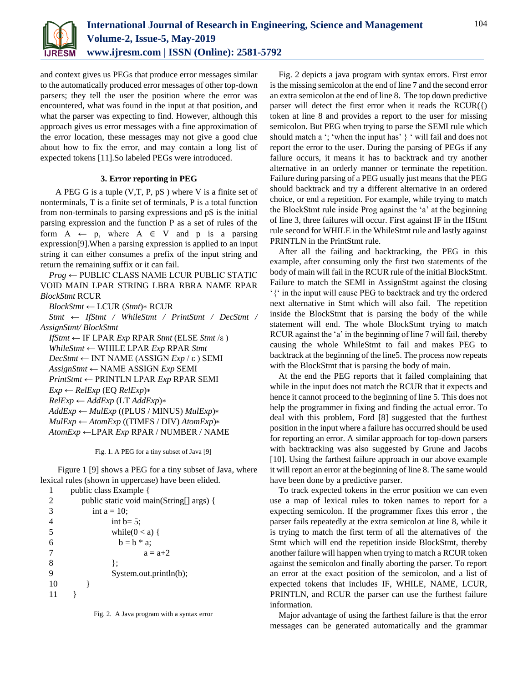

and context gives us PEGs that produce error messages similar to the automatically produced error messages of other top-down parsers; they tell the user the position where the error was encountered, what was found in the input at that position, and what the parser was expecting to find. However, although this approach gives us error messages with a fine approximation of the error location, these messages may not give a good clue about how to fix the error, and may contain a long list of expected tokens [11].So labeled PEGs were introduced.

## **3. Error reporting in PEG**

 A PEG G is a tuple (V,T, P, pS ) where V is a finite set of nonterminals, T is a finite set of terminals, P is a total function from non-terminals to parsing expressions and pS is the initial parsing expression and the function P as a set of rules of the form  $A \leftarrow p$ , where  $A \in V$  and p is a parsing expression[9].When a parsing expression is applied to an input string it can either consumes a prefix of the input string and return the remaining suffix or it can fail.

*Prog* ← PUBLIC CLASS NAME LCUR PUBLIC STATIC VOID MAIN LPAR STRING LBRA RBRA NAME RPAR *BlockStmt* RCUR

*BlockStmt* ← LCUR (*Stmt*)∗ RCUR

*Stmt* ← *IfStmt / WhileStmt / PrintStmt / DecStmt / AssignStmt/ BlockStmt*

```
IfStmt ← IF LPAR Exp RPAR Stmt (ELSE Stmt /ε )
WhileStmt ← WHILE LPAR Exp RPAR Stmt
DecSum \leftarrow INT NAME (ASSIGN Exp / \varepsilon) SEMIAssignStmt ← NAME ASSIGN Exp SEMI
PrintStmt ← PRINTLN LPAR Exp RPAR SEMI
Exp ← RelExp (EQ RelExp)∗
RelExp ← AddExp (LT AddExp)∗
AddExp ← MulExp ((PLUS / MINUS) MulExp)∗
MulExp ← AtomExp ((TIMES / DIV) AtomExp)∗
AtomExp ←LPAR Exp RPAR / NUMBER / NAME
```
Fig. 1. A PEG for a tiny subset of Java [9]

 Figure 1 [9] shows a PEG for a tiny subset of Java, where lexical rules (shown in uppercase) have been elided.

|    | public class Example {                   |
|----|------------------------------------------|
| 2  | public static void main(String[] args) { |
| 3  | int $a = 10$ ;                           |
|    | int $b=5$ ;                              |
| 5  | while( $0 < a$ ) {                       |
| 6  | $b = b * a$                              |
|    | $a = a+2$                                |
| 8  | ł:                                       |
| 9  | System.out.println(b);                   |
| 10 |                                          |
|    |                                          |
|    |                                          |

Fig. 2 depicts a java program with syntax errors. First error is the missing semicolon at the end of line 7 and the second error an extra semicolon at the end of line 8. The top down predictive parser will detect the first error when it reads the  $RCUR(\lbrace)$ token at line 8 and provides a report to the user for missing semicolon. But PEG when trying to parse the SEMI rule which should match a '; 'when the input has' } ' will fail and does not report the error to the user. During the parsing of PEGs if any failure occurs, it means it has to backtrack and try another alternative in an orderly manner or terminate the repetition. Failure during parsing of a PEG usually just means that the PEG should backtrack and try a different alternative in an ordered choice, or end a repetition. For example, while trying to match the BlockStmt rule inside Prog against the 'a' at the beginning of line 3, three failures will occur. First against IF in the IfStmt rule second for WHILE in the WhileStmt rule and lastly against PRINTLN in the PrintStmt rule.

After all the failing and backtracking, the PEG in this example, after consuming only the first two statements of the body of main will fail in the RCUR rule of the initial BlockStmt. Failure to match the SEMI in AssignStmt against the closing '{' in the input will cause PEG to backtrack and try the ordered next alternative in Stmt which will also fail. The repetition inside the BlockStmt that is parsing the body of the while statement will end. The whole BlockStmt trying to match RCUR against the 'a' in the beginning of line 7 will fail, thereby causing the whole WhileStmt to fail and makes PEG to backtrack at the beginning of the line5. The process now repeats with the BlockStmt that is parsing the body of main.

At the end the PEG reports that it failed complaining that while in the input does not match the RCUR that it expects and hence it cannot proceed to the beginning of line 5. This does not help the programmer in fixing and finding the actual error. To deal with this problem, Ford [8] suggested that the furthest position in the input where a failure has occurred should be used for reporting an error. A similar approach for top-down parsers with backtracking was also suggested by Grune and Jacobs [10]. Using the farthest failure approach in our above example it will report an error at the beginning of line 8. The same would have been done by a predictive parser.

To track expected tokens in the error position we can even use a map of lexical rules to token names to report for a expecting semicolon. If the programmer fixes this error , the parser fails repeatedly at the extra semicolon at line 8, while it is trying to match the first term of all the alternatives of the Stmt which will end the repetition inside BlockStmt, thereby another failure will happen when trying to match a RCUR token against the semicolon and finally aborting the parser. To report an error at the exact position of the semicolon, and a list of expected tokens that includes IF, WHILE, NAME, LCUR, PRINTLN, and RCUR the parser can use the furthest failure information.

Major advantage of using the farthest failure is that the error messages can be generated automatically and the grammar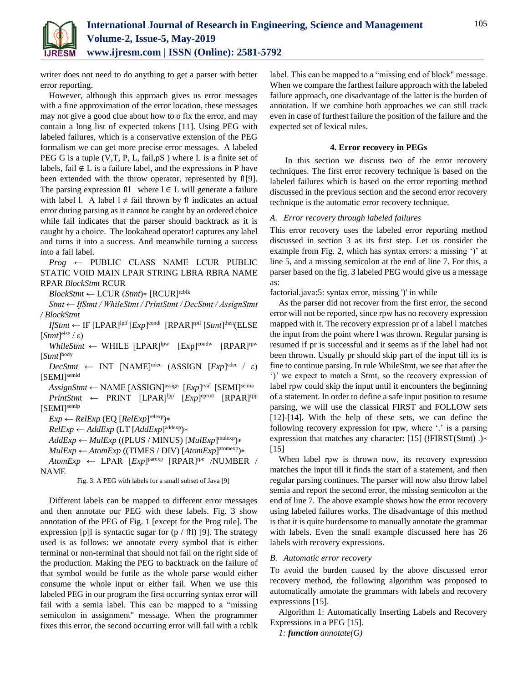

writer does not need to do anything to get a parser with better error reporting.

However, although this approach gives us error messages with a fine approximation of the error location, these messages may not give a good clue about how to o fix the error, and may contain a long list of expected tokens [11]. Using PEG with labeled failures, which is a conservative extension of the PEG formalism we can get more precise error messages. A labeled PEG G is a tuple (V,T, P, L, fail, pS) where L is a finite set of labels, fail ∉ L is a failure label, and the expressions in P have been extended with the throw operator, represented by ⇑[9]. The parsing expression  $\hat{\mathbb{I}}$  where  $\mathbb{I} \in L$  will generate a failure with label l. A label  $l \neq$  fail thrown by  $\hat{\theta}$  indicates an actual error during parsing as it cannot be caught by an ordered choice while fail indicates that the parser should backtrack as it is caught by a choice. The lookahead operator! captures any label and turns it into a success. And meanwhile turning a success into a fail label.

*Prog* ← PUBLIC CLASS NAME LCUR PUBLIC STATIC VOID MAIN LPAR STRING LBRA RBRA NAME RPAR *BlockStmt* RCUR

*BlockStm*t ← LCUR (*Stmt*)∗ [RCUR]rcblk

*Stmt ← IfStmt / WhileStmt / PrintStmt / DecStmt / AssignStmt / BlockStmt*

 $If \mathcal{S} tmt \leftarrow \text{IF } [\text{LPAR}]^{\text{lpif}} [Exp]^{\text{condi}} [RPAR]^{\text{rpif}} [S tmt]^{\text{then}} (\text{ELSE})$  $[Stmt]$ <sup>else</sup> / ε)

*WhileStmt* ← WHILE [LPAR]<sup>lpw</sup> [Exp]<sup>condw</sup> [RPAR]<sup>rpw</sup> [*Stmt*] body

 $DecSmt \leftarrow \text{INT } [\text{NAME}]^{\text{ndec}} \text{ (ASSIGN } [Exp]^{\text{edec}} / \varepsilon)$ [SEMI]<sup>semid</sup>

 $\overline{A}$ *ssignStmt* ← NAME [ASSIGN]<sup>assign</sup> [*Exp*]<sup>rval</sup> [SEMI]<sup>semia</sup> *PrintStmt* ← PRINT [LPAR]<sup>lpp</sup> [*Exp*]<sup>eprint</sup> [RPAR]<sup>rpp</sup> [SEMI]<sup>semip</sup>

*Exp* ← *RelExp* (EQ [*RelExp*] relexp)∗

*RelExp* ← *AddExp* (LT [*AddExp*] addexp)∗

*AddExp* ← *MulExp* ((PLUS / MINUS) [*MulExp*] mulexp)∗

*MulExp* ← *AtomExp* ((TIMES / DIV) [*AtomExp*] atomexp)∗

 $AtomicExp \leftarrow \text{LPAR}$   $[Exp]^\text{parsexp}$   $[RPAR]^\text{re}$  /NUMBER / NAME

Fig. 3. A PEG with labels for a small subset of Java [9]

Different labels can be mapped to different error messages and then annotate our PEG with these labels. Fig. 3 show annotation of the PEG of Fig. 1 [except for the Prog rule]. The expression [p]l is syntactic sugar for  $(p / \hat{\pi})$  [9]. The strategy used is as follows: we annotate every symbol that is either terminal or non-terminal that should not fail on the right side of the production. Making the PEG to backtrack on the failure of that symbol would be futile as the whole parse would either consume the whole input or either fail. When we use this labeled PEG in our program the first occurring syntax error will fail with a semia label. This can be mapped to a "missing semicolon in assignment" message. When the programmer fixes this error, the second occurring error will fail with a rcblk label. This can be mapped to a "missing end of block" message. When we compare the farthest failure approach with the labeled failure approach, one disadvantage of the latter is the burden of annotation. If we combine both approaches we can still track even in case of furthest failure the position of the failure and the expected set of lexical rules.

#### **4. Error recovery in PEGs**

 In this section we discuss two of the error recovery techniques. The first error recovery technique is based on the labeled failures which is based on the error reporting method discussed in the previous section and the second error recovery technique is the automatic error recovery technique.

## *A. Error recovery through labeled failures*

This error recovery uses the labeled error reporting method discussed in section 3 as its first step. Let us consider the example from Fig. 2, which has syntax errors: a missing ')' at line 5, and a missing semicolon at the end of line 7. For this, a parser based on the fig. 3 labeled PEG would give us a message as:

factorial.java:5: syntax error, missing ')' in while

As the parser did not recover from the first error, the second error will not be reported, since rpw has no recovery expression mapped with it. The recovery expression pr of a label l matches the input from the point where l was thrown. Regular parsing is resumed if pr is successful and it seems as if the label had not been thrown. Usually pr should skip part of the input till its is fine to continue parsing. In rule WhileStmt, we see that after the ')' we expect to match a Stmt, so the recovery expression of label rpw could skip the input until it encounters the beginning of a statement. In order to define a safe input position to resume parsing, we will use the classical FIRST and FOLLOW sets [12]-[14]. With the help of these sets, we can define the following recovery expression for rpw, where '.' is a parsing expression that matches any character: [15] (!FIRST(Stmt) .)∗ [15]

When label rpw is thrown now, its recovery expression matches the input till it finds the start of a statement, and then regular parsing continues. The parser will now also throw label semia and report the second error, the missing semicolon at the end of line 7. The above example shows how the error recovery using labeled failures works. The disadvantage of this method is that it is quite burdensome to manually annotate the grammar with labels. Even the small example discussed here has 26 labels with recovery expressions.

#### *B. Automatic error recovery*

To avoid the burden caused by the above discussed error recovery method, the following algorithm was proposed to automatically annotate the grammars with labels and recovery expressions [15].

Algorithm 1: Automatically Inserting Labels and Recovery Expressions in a PEG [15].

*1: function annotate(G)*